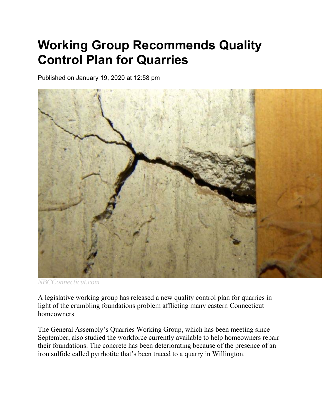## **Working Group Recommends Quality Control Plan for Quarries**

Published on January 19, 2020 at 12:58 pm



*NBCConnecticut.com*

A legislative working group has released a new quality control plan for quarries in light of the crumbling foundations problem afflicting many eastern Connecticut homeowners.

The General Assembly's Quarries Working Group, which has been meeting since September, also studied the workforce currently available to help homeowners repair their foundations. The concrete has been deteriorating because of the presence of an iron sulfide called pyrrhotite that's been traced to a quarry in Willington.